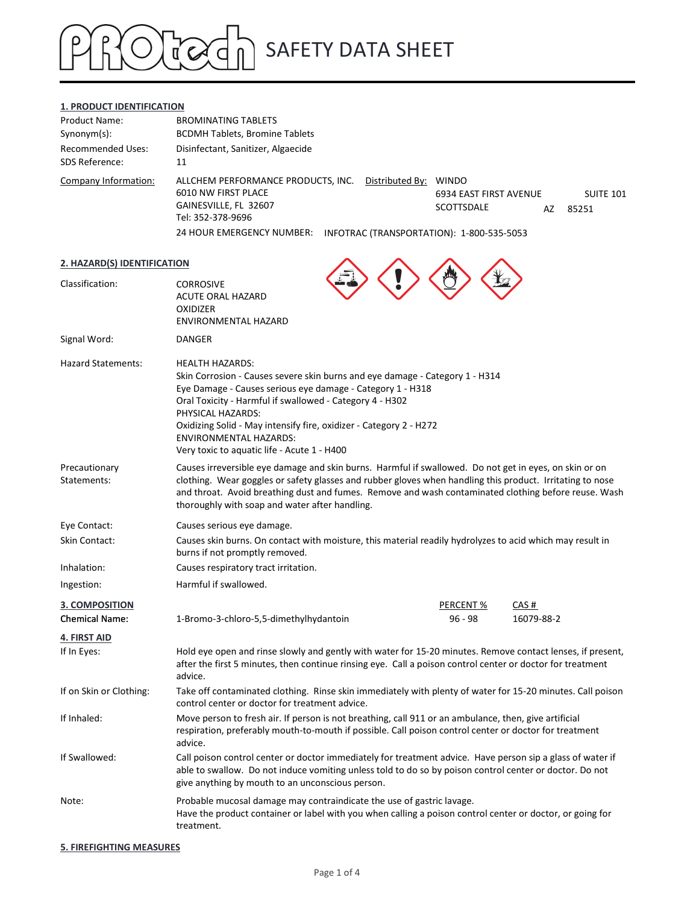#### 1. PRODUCT IDENTIFICATION

|                                                           |                                                                                                                                                                                                                                                                                                                                                                                                             | <b>SAFETY DATA SHEET</b>                                      |                                 |
|-----------------------------------------------------------|-------------------------------------------------------------------------------------------------------------------------------------------------------------------------------------------------------------------------------------------------------------------------------------------------------------------------------------------------------------------------------------------------------------|---------------------------------------------------------------|---------------------------------|
| 1. PRODUCT IDENTIFICATION<br>Product Name:                | <b>BROMINATING TABLETS</b>                                                                                                                                                                                                                                                                                                                                                                                  |                                                               |                                 |
| Synonym(s):<br><b>Recommended Uses:</b><br>SDS Reference: | <b>BCDMH Tablets, Bromine Tablets</b><br>Disinfectant, Sanitizer, Algaecide<br>11                                                                                                                                                                                                                                                                                                                           |                                                               |                                 |
| Company Information:                                      | ALLCHEM PERFORMANCE PRODUCTS, INC.<br>6010 NW FIRST PLACE<br>GAINESVILLE, FL 32607<br>Tel: 352-378-9696<br>24 HOUR EMERGENCY NUMBER: INFOTRAC (TRANSPORTATION): 1-800-535-5053                                                                                                                                                                                                                              | Distributed By: WINDO<br>6934 EAST FIRST AVENUE<br>SCOTTSDALE | <b>SUITE 101</b><br>AZ<br>85251 |
| 2. HAZARD(S) IDENTIFICATION                               |                                                                                                                                                                                                                                                                                                                                                                                                             |                                                               |                                 |
| Classification:                                           | <b>CORROSIVE</b><br>ACUTE ORAL HAZARD<br><b>OXIDIZER</b><br>ENVIRONMENTAL HAZARD                                                                                                                                                                                                                                                                                                                            |                                                               |                                 |
| Signal Word:                                              | DANGER                                                                                                                                                                                                                                                                                                                                                                                                      |                                                               |                                 |
| <b>Hazard Statements:</b>                                 | <b>HEALTH HAZARDS:</b><br>Skin Corrosion - Causes severe skin burns and eye damage - Category 1 - H314<br>Eye Damage - Causes serious eye damage - Category 1 - H318<br>Oral Toxicity - Harmful if swallowed - Category 4 - H302<br>PHYSICAL HAZARDS:<br>Oxidizing Solid - May intensify fire, oxidizer - Category 2 - H272<br><b>ENVIRONMENTAL HAZARDS:</b><br>Very toxic to aquatic life - Acute 1 - H400 |                                                               |                                 |
| Precautionary<br>Statements:                              | Causes irreversible eye damage and skin burns. Harmful if swallowed. Do not get in eyes, on skin or on<br>clothing. Wear goggles or safety glasses and rubber gloves when handling this product. Irritating to nose<br>and throat. Avoid breathing dust and fumes. Remove and wash contaminated clothing before reuse. Wash<br>thoroughly with soap and water after handling.                               |                                                               |                                 |
| Eye Contact:<br>Skin Contact:                             | Causes serious eye damage.<br>Causes skin burns. On contact with moisture, this material readily hydrolyzes to acid which may result in<br>burns if not promptly removed.                                                                                                                                                                                                                                   |                                                               |                                 |
| Inhalation:                                               | Causes respiratory tract irritation.                                                                                                                                                                                                                                                                                                                                                                        |                                                               |                                 |
| Ingestion:                                                | Harmful if swallowed.                                                                                                                                                                                                                                                                                                                                                                                       |                                                               |                                 |
| 3. COMPOSITION<br><b>Chemical Name:</b>                   | 1-Bromo-3-chloro-5,5-dimethylhydantoin                                                                                                                                                                                                                                                                                                                                                                      | PERCENT %<br>$96 - 98$                                        | CAS#<br>16079-88-2              |
| 4. FIRST AID                                              |                                                                                                                                                                                                                                                                                                                                                                                                             |                                                               |                                 |
| If In Eyes:                                               | Hold eye open and rinse slowly and gently with water for 15-20 minutes. Remove contact lenses, if present,<br>after the first 5 minutes, then continue rinsing eye. Call a poison control center or doctor for treatment<br>advice.                                                                                                                                                                         |                                                               |                                 |
| If on Skin or Clothing:                                   | Take off contaminated clothing. Rinse skin immediately with plenty of water for 15-20 minutes. Call poison<br>control center or doctor for treatment advice.                                                                                                                                                                                                                                                |                                                               |                                 |
| If Inhaled:                                               | Move person to fresh air. If person is not breathing, call 911 or an ambulance, then, give artificial<br>respiration, preferably mouth-to-mouth if possible. Call poison control center or doctor for treatment<br>advice.                                                                                                                                                                                  |                                                               |                                 |
| If Swallowed:                                             | Call poison control center or doctor immediately for treatment advice. Have person sip a glass of water if<br>able to swallow. Do not induce vomiting unless told to do so by poison control center or doctor. Do not<br>give anything by mouth to an unconscious person.                                                                                                                                   |                                                               |                                 |
| Note:                                                     | Probable mucosal damage may contraindicate the use of gastric lavage.<br>Have the product container or label with you when calling a poison control center or doctor, or going for<br>treatment.                                                                                                                                                                                                            |                                                               |                                 |

5. FIREFIGHTING MEASURES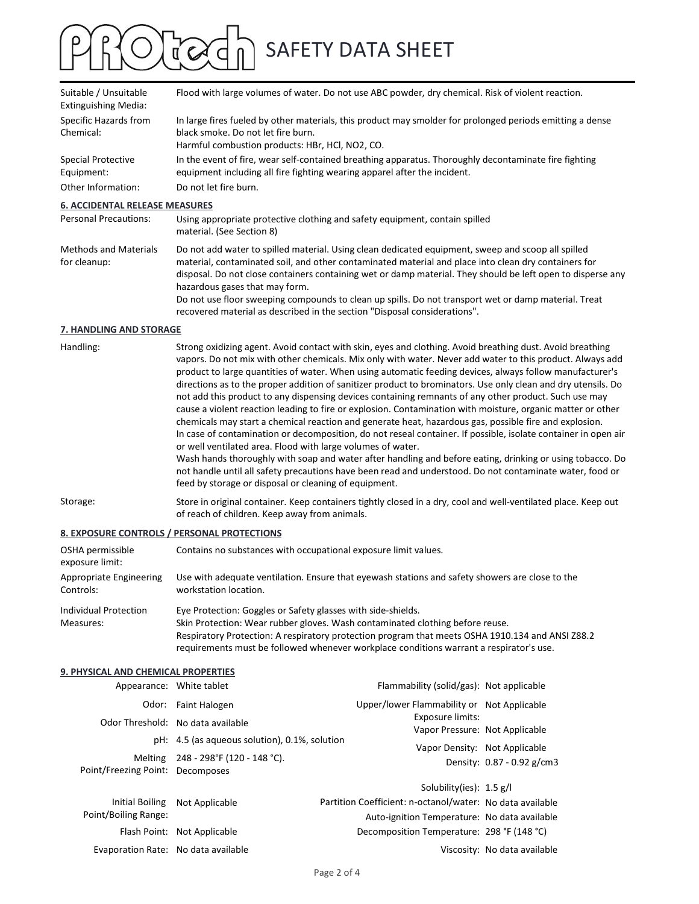| Suitable / Unsuitable<br><b>Extinguishing Media:</b> | Flood with large volumes of water. Do not use ABC powder, dry chemical. Risk of violent reaction.                                                                                                                                                                                                                                                                                                                                                                                                                                                                                                                                                                                                                                                                                                                                                                                                        |  |  |  |
|------------------------------------------------------|----------------------------------------------------------------------------------------------------------------------------------------------------------------------------------------------------------------------------------------------------------------------------------------------------------------------------------------------------------------------------------------------------------------------------------------------------------------------------------------------------------------------------------------------------------------------------------------------------------------------------------------------------------------------------------------------------------------------------------------------------------------------------------------------------------------------------------------------------------------------------------------------------------|--|--|--|
| Specific Hazards from<br>Chemical:                   | In large fires fueled by other materials, this product may smolder for prolonged periods emitting a dense<br>black smoke. Do not let fire burn.<br>Harmful combustion products: HBr, HCl, NO2, CO.                                                                                                                                                                                                                                                                                                                                                                                                                                                                                                                                                                                                                                                                                                       |  |  |  |
| <b>Special Protective</b><br>Equipment:              | In the event of fire, wear self-contained breathing apparatus. Thoroughly decontaminate fire fighting<br>equipment including all fire fighting wearing apparel after the incident.                                                                                                                                                                                                                                                                                                                                                                                                                                                                                                                                                                                                                                                                                                                       |  |  |  |
| Other Information:                                   | Do not let fire burn.                                                                                                                                                                                                                                                                                                                                                                                                                                                                                                                                                                                                                                                                                                                                                                                                                                                                                    |  |  |  |
| <b>6. ACCIDENTAL RELEASE MEASURES</b>                |                                                                                                                                                                                                                                                                                                                                                                                                                                                                                                                                                                                                                                                                                                                                                                                                                                                                                                          |  |  |  |
| <b>Personal Precautions:</b>                         | Using appropriate protective clothing and safety equipment, contain spilled<br>material. (See Section 8)                                                                                                                                                                                                                                                                                                                                                                                                                                                                                                                                                                                                                                                                                                                                                                                                 |  |  |  |
| <b>Methods and Materials</b><br>for cleanup:         | Do not add water to spilled material. Using clean dedicated equipment, sweep and scoop all spilled<br>material, contaminated soil, and other contaminated material and place into clean dry containers for<br>disposal. Do not close containers containing wet or damp material. They should be left open to disperse any<br>hazardous gases that may form.<br>Do not use floor sweeping compounds to clean up spills. Do not transport wet or damp material. Treat<br>recovered material as described in the section "Disposal considerations".                                                                                                                                                                                                                                                                                                                                                         |  |  |  |
| 7. HANDLING AND STORAGE                              |                                                                                                                                                                                                                                                                                                                                                                                                                                                                                                                                                                                                                                                                                                                                                                                                                                                                                                          |  |  |  |
| Handling:                                            | Strong oxidizing agent. Avoid contact with skin, eyes and clothing. Avoid breathing dust. Avoid breathing<br>vapors. Do not mix with other chemicals. Mix only with water. Never add water to this product. Always add<br>product to large quantities of water. When using automatic feeding devices, always follow manufacturer's<br>directions as to the proper addition of sanitizer product to brominators. Use only clean and dry utensils. Do<br>not add this product to any dispensing devices containing remnants of any other product. Such use may<br>cause a violent reaction leading to fire or explosion. Contamination with moisture, organic matter or other<br>chemicals may start a chemical reaction and generate heat, hazardous gas, possible fire and explosion.<br>the contract of the contract of the contract of the contract of the contract of the contract of the contract of |  |  |  |

| Handling: | Strong oxidizing agent. Avoid contact with skin, eyes and clothing. Avoid breathing dust. Avoid breathing      |
|-----------|----------------------------------------------------------------------------------------------------------------|
|           | vapors. Do not mix with other chemicals. Mix only with water. Never add water to this product. Always add      |
|           | product to large quantities of water. When using automatic feeding devices, always follow manufacturer's       |
|           | directions as to the proper addition of sanitizer product to brominators. Use only clean and dry utensils. Do  |
|           | not add this product to any dispensing devices containing remnants of any other product. Such use may          |
|           | cause a violent reaction leading to fire or explosion. Contamination with moisture, organic matter or other    |
|           | chemicals may start a chemical reaction and generate heat, hazardous gas, possible fire and explosion.         |
|           | In case of contamination or decomposition, do not reseal container. If possible, isolate container in open air |
|           | or well ventilated area. Flood with large volumes of water.                                                    |
|           | Wash hands thoroughly with soap and water after handling and before eating, drinking or using tobacco. Do      |
|           | not handle until all safety precautions have been read and understood. Do not contaminate water, food or       |
|           | feed by storage or disposal or cleaning of equipment.                                                          |
|           |                                                                                                                |

### 8. EXPOSURE CONTROLS / PERSONAL PROTECTIONS

| OSHA permissible<br>exposure limit:  | Contains no substances with occupational exposure limit values.                                                          |
|--------------------------------------|--------------------------------------------------------------------------------------------------------------------------|
| Appropriate Engineering<br>Controls: | Use with adequate ventilation. Ensure that eyewash stations and safety showers are close to the<br>workstation location. |
| Individual Protection                | Eye Protection: Goggles or Safety glasses with side-shields.                                                             |
| Measures:                            | Skin Protection: Wear rubber gloves. Wash contaminated clothing before reuse.                                            |
|                                      | Respiratory Protection: A respiratory protection program that meets OSHA 1910.134 and ANSI Z88.2                         |

#### **9. PHYSICAL AND CHEMICAL PROPERTIES**

|                                     | feed by storage or disposal or cleaning of equipment.                                                                                                                                                                                                                                                                                        |                                                           |                              |  |  |  |
|-------------------------------------|----------------------------------------------------------------------------------------------------------------------------------------------------------------------------------------------------------------------------------------------------------------------------------------------------------------------------------------------|-----------------------------------------------------------|------------------------------|--|--|--|
| orage:                              | Store in original container. Keep containers tightly closed in a dry, cool and well-ventilated place. Keep out<br>of reach of children. Keep away from animals.                                                                                                                                                                              |                                                           |                              |  |  |  |
|                                     | <b>EXPOSURE CONTROLS / PERSONAL PROTECTIONS</b>                                                                                                                                                                                                                                                                                              |                                                           |                              |  |  |  |
| HA permissible<br>posure limit:     | Contains no substances with occupational exposure limit values.                                                                                                                                                                                                                                                                              |                                                           |                              |  |  |  |
| propriate Engineering<br>ntrols:    | Use with adequate ventilation. Ensure that eyewash stations and safety showers are close to the<br>workstation location.                                                                                                                                                                                                                     |                                                           |                              |  |  |  |
| dividual Protection<br>easures:     | Eye Protection: Goggles or Safety glasses with side-shields.<br>Skin Protection: Wear rubber gloves. Wash contaminated clothing before reuse.<br>Respiratory Protection: A respiratory protection program that meets OSHA 1910.134 and ANSI Z88.2<br>requirements must be followed whenever workplace conditions warrant a respirator's use. |                                                           |                              |  |  |  |
| PHYSICAL AND CHEMICAL PROPERTIES    |                                                                                                                                                                                                                                                                                                                                              |                                                           |                              |  |  |  |
|                                     | Appearance: White tablet                                                                                                                                                                                                                                                                                                                     | Flammability (solid/gas): Not applicable                  |                              |  |  |  |
|                                     | Odor: Faint Halogen                                                                                                                                                                                                                                                                                                                          | Upper/lower Flammability or Not Applicable                |                              |  |  |  |
|                                     | Odor Threshold: No data available                                                                                                                                                                                                                                                                                                            | Exposure limits:<br>Vapor Pressure: Not Applicable        |                              |  |  |  |
|                                     | pH: 4.5 (as aqueous solution), 0.1%, solution                                                                                                                                                                                                                                                                                                | Vapor Density: Not Applicable                             |                              |  |  |  |
| Point/Freezing Point: Decomposes    | Melting 248 - 298°F (120 - 148 °C).                                                                                                                                                                                                                                                                                                          |                                                           | Density: 0.87 - 0.92 g/cm3   |  |  |  |
|                                     |                                                                                                                                                                                                                                                                                                                                              | Solubility(ies): 1.5 g/l                                  |                              |  |  |  |
|                                     | Initial Boiling Not Applicable                                                                                                                                                                                                                                                                                                               | Partition Coefficient: n-octanol/water: No data available |                              |  |  |  |
| Point/Boiling Range:                |                                                                                                                                                                                                                                                                                                                                              | Auto-ignition Temperature: No data available              |                              |  |  |  |
|                                     | Flash Point: Not Applicable                                                                                                                                                                                                                                                                                                                  | Decomposition Temperature: 298 °F (148 °C)                |                              |  |  |  |
| Evaporation Rate: No data available |                                                                                                                                                                                                                                                                                                                                              |                                                           | Viscosity: No data available |  |  |  |
|                                     |                                                                                                                                                                                                                                                                                                                                              | Page 2 of 4                                               |                              |  |  |  |
|                                     |                                                                                                                                                                                                                                                                                                                                              |                                                           |                              |  |  |  |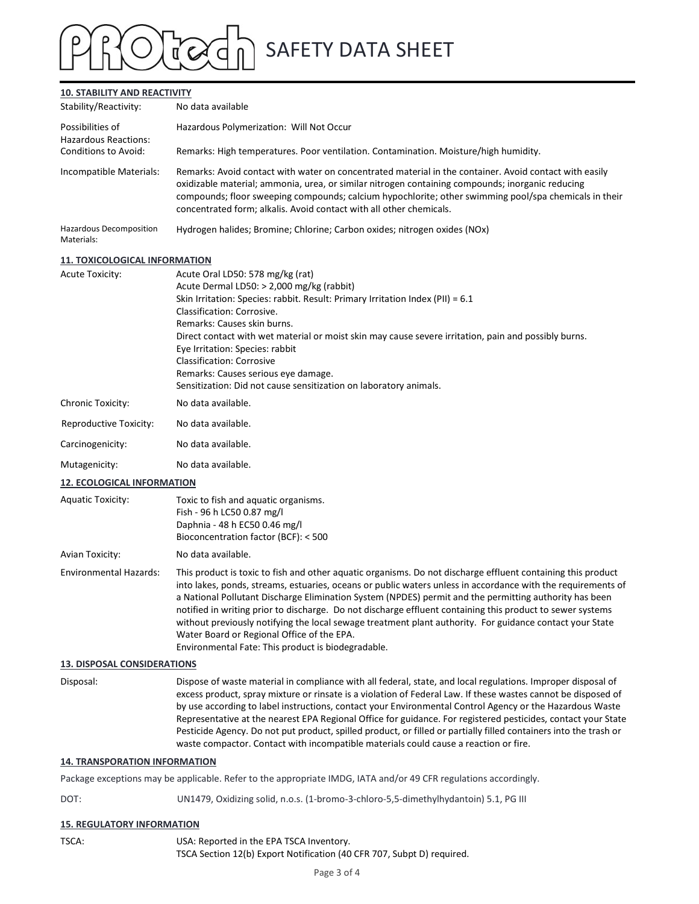### 10. STABILITY AND REACTIVITY

|                                                              | <b>SAFETY DATA SHEET</b>                                                                                                                                                                                                                                                                                                                                                                                                                                                                                                                                                                                       |  |  |  |
|--------------------------------------------------------------|----------------------------------------------------------------------------------------------------------------------------------------------------------------------------------------------------------------------------------------------------------------------------------------------------------------------------------------------------------------------------------------------------------------------------------------------------------------------------------------------------------------------------------------------------------------------------------------------------------------|--|--|--|
| <b>10. STABILITY AND REACTIVITY</b><br>Stability/Reactivity: | No data available                                                                                                                                                                                                                                                                                                                                                                                                                                                                                                                                                                                              |  |  |  |
| Possibilities of                                             | Hazardous Polymerization: Will Not Occur                                                                                                                                                                                                                                                                                                                                                                                                                                                                                                                                                                       |  |  |  |
| Hazardous Reactions:<br>Conditions to Avoid:                 | Remarks: High temperatures. Poor ventilation. Contamination. Moisture/high humidity.                                                                                                                                                                                                                                                                                                                                                                                                                                                                                                                           |  |  |  |
| Incompatible Materials:                                      | Remarks: Avoid contact with water on concentrated material in the container. Avoid contact with easily<br>oxidizable material; ammonia, urea, or similar nitrogen containing compounds; inorganic reducing<br>compounds; floor sweeping compounds; calcium hypochlorite; other swimming pool/spa chemicals in their<br>concentrated form; alkalis. Avoid contact with all other chemicals.                                                                                                                                                                                                                     |  |  |  |
| <b>Hazardous Decomposition</b><br>Materials:                 | Hydrogen halides; Bromine; Chlorine; Carbon oxides; nitrogen oxides (NOx)                                                                                                                                                                                                                                                                                                                                                                                                                                                                                                                                      |  |  |  |
| <b>11. TOXICOLOGICAL INFORMATION</b>                         |                                                                                                                                                                                                                                                                                                                                                                                                                                                                                                                                                                                                                |  |  |  |
| <b>Acute Toxicity:</b>                                       | Acute Oral LD50: 578 mg/kg (rat)<br>Acute Dermal LD50: > 2,000 mg/kg (rabbit)<br>Skin Irritation: Species: rabbit. Result: Primary Irritation Index (PII) = 6.1<br>Classification: Corrosive.<br>Remarks: Causes skin burns.<br>Direct contact with wet material or moist skin may cause severe irritation, pain and possibly burns.<br>Eye Irritation: Species: rabbit<br><b>Classification: Corrosive</b><br>Remarks: Causes serious eye damage.<br>Sensitization: Did not cause sensitization on laboratory animals.                                                                                        |  |  |  |
| Chronic Toxicity:                                            | No data available.                                                                                                                                                                                                                                                                                                                                                                                                                                                                                                                                                                                             |  |  |  |
| Reproductive Toxicity:                                       | No data available.                                                                                                                                                                                                                                                                                                                                                                                                                                                                                                                                                                                             |  |  |  |
| Carcinogenicity:                                             | No data available.                                                                                                                                                                                                                                                                                                                                                                                                                                                                                                                                                                                             |  |  |  |
| Mutagenicity:                                                | No data available.                                                                                                                                                                                                                                                                                                                                                                                                                                                                                                                                                                                             |  |  |  |
| <b>12. ECOLOGICAL INFORMATION</b>                            |                                                                                                                                                                                                                                                                                                                                                                                                                                                                                                                                                                                                                |  |  |  |
| <b>Aquatic Toxicity:</b>                                     | Toxic to fish and aquatic organisms.<br>Fish - 96 h LC50 0.87 mg/l<br>Daphnia - 48 h EC50 0.46 mg/l<br>Bioconcentration factor (BCF): < 500                                                                                                                                                                                                                                                                                                                                                                                                                                                                    |  |  |  |
| Avian Toxicity:                                              | No data available.                                                                                                                                                                                                                                                                                                                                                                                                                                                                                                                                                                                             |  |  |  |
| <b>Environmental Hazards:</b>                                | This product is toxic to fish and other aquatic organisms. Do not discharge effluent containing this product<br>into lakes, ponds, streams, estuaries, oceans or public waters unless in accordance with the requirements of<br>a National Pollutant Discharge Elimination System (NPDES) permit and the permitting authority has been<br>notified in writing prior to discharge. Do not discharge effluent containing this product to sewer systems<br>without previously notifying the local sewage treatment plant authority. For guidance contact your State<br>Water Board or Regional Office of the EPA. |  |  |  |

| Reproductive Toxicity: | No data available. |
|------------------------|--------------------|
| Carcinogenicity:       | No data available. |

#### 12. ECOLOGICAL INFORMATION

| Aquatic Toxicity: | Toxic to fish and aquatic organisms.<br>Fish - 96 h LC50 0.87 mg/l |  |
|-------------------|--------------------------------------------------------------------|--|
|                   | Daphnia - 48 h EC50 0.46 mg/l                                      |  |
|                   | Bioconcentration factor (BCF): < 500                               |  |
|                   |                                                                    |  |

Environmental Hazards: This product is toxic to fish and other aquatic organisms. Do not discharge effluent containing this product into lakes, ponds, streams, estuaries, oceans or public waters unless in accordance with the requirements of a National Pollutant Discharge Elimination System (NPDES) permit and the permitting authority has been notified in writing prior to discharge. Do not discharge effluent containing this product to sewer systems without previously notifying the local sewage treatment plant authority. For guidance contact your State Water Board or Regional Office of the EPA. Environmental Fate: This product is biodegradable.

#### 13. DISPOSAL CONSIDERATIONS

Disposal: Dispose of waste material in compliance with all federal, state, and local regulations. Improper disposal of excess product, spray mixture or rinsate is a violation of Federal Law. If these wastes cannot be disposed of by use according to label instructions, contact your Environmental Control Agency or the Hazardous Waste Representative at the nearest EPA Regional Office for guidance. For registered pesticides, contact your State Pesticide Agency. Do not put product, spilled product, or filled or partially filled containers into the trash or waste compactor. Contact with incompatible materials could cause a reaction or fire.

#### 14. TRANSPORATION INFORMATION

Package exceptions may be applicable. Refer to the appropriate IMDG, IATA and/or 49 CFR regulations accordingly.

DOT: UN1479, Oxidizing solid, n.o.s. (1-bromo-3-chloro-5,5-dimethylhydantoin) 5.1, PG III

#### 15. REGULATORY INFORMATION

TSCA: USA: Reported in the EPA TSCA Inventory. TSCA Section 12(b) Export Notification (40 CFR 707, Subpt D) required.